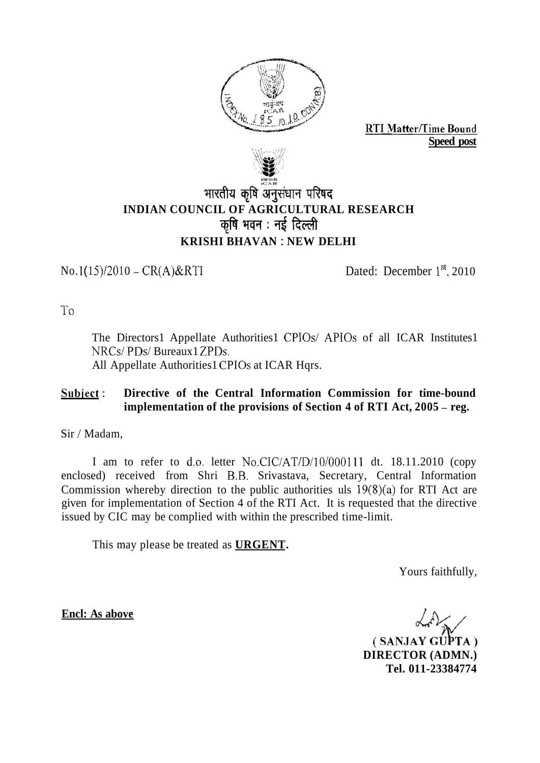

**RTI Matter/Time Bound Speed post** 



# भारतीय कृषि अनुसंधान परिषद **INDIAN COUNCIL OF AGRICULTURAL RESEARCH**  कृषि भवन : नई दिल्ली **KRISHI BHAVAN** : **NEW DELHI**

 $No. 1(15)/2010 - CR(A) & RTI$  Dated: December  $1^{st}$ , 2010

To

The Directors1 Appellate Authorities1 CPIOs/ APIOs of all ICAR Institutes1 NRCs/PDs/Bureaux1ZPDs. All Appellate Authorities1 CPIOs at ICAR Hqrs.

#### **Subject** : **Directive of the Central Information Commission for time-bound implementation of the provisions of Section 4 of RTI Act, 2005 – reg.**

Sir / Madam,

I am to refer to d.o. letter No.CIC/AT/D/10/000111 dt. 18.11.2010 (copy enclosed) received from Shri B,B. Srivastava, Secretary, Central Information Commission whereby direction to the public authorities uls  $19(8)(a)$  for RTI Act are given for implementation of Section 4 of the RTI Act. It is requested that the directive issued by CIC may be complied with within the prescribed time-limit.

This may please be treated as **URGENT.** 

Yours faithfully,

**Encl: As above** 

(SANJAY GUPTA) **DIRECTOR (ADMN.) Tel. 011-23384774**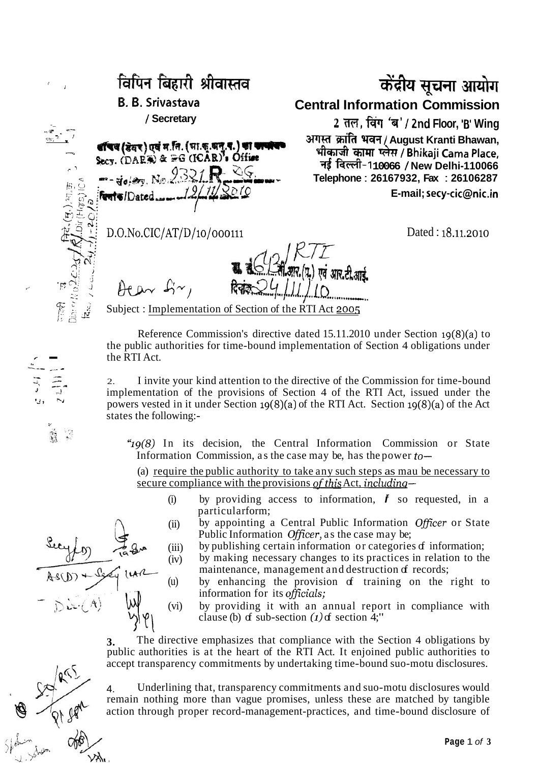1 "- / **Secretary**  B. B. Srivastava<br>
/ Secretary<br>
/ Secretary<br>
(Tag (sat) data (site, and state)<br>
(DAES) & Reg (ICAR), Office<br>
Secy. (DAES) & Reg (ICAR), Office<br>
Secy. (DAES) & Reg (ICAR), Office<br>
Telephone : 26167932 Fax : 26106287 I:  $\frac{12}{12}$  **Rente** *I* Dated *- 12* 11 2010<br>
E-mail; secy-cic@nic.in **E-mail**; secy-cic@nic.in 2. **H**<sub>2</sub><br>Div (H<sub>QTC</sub><br>2. *Div*<br>2. Div 1 **D.O.No.CIC/AT/D/io/oooiii** Dated : 18.11.2010  $\sum_{i=1}^n$  $\frac{\partial}{\partial i}$   $\frac{\partial}{\partial i}$ )<br>02CM<br>**1**g ... 21  $\theta$   $\tan \theta$   $\sim$ ,

!

---- \_. -

## **B. B. Srivastava Central Information Commission**

**Example 26167932, Fax : 26106287**<br> $\frac{3}{2}$ :  $\frac{3}{2}$ :  $\frac{3}{2}$ :  $\frac{3}{2}$ :  $\frac{1}{2}$ 

एवं आर.टी.आर्ट  $\mathbb{R}^{\infty}$  :  $\theta$ Co $\sim$   $\mathcal{L}'$   $\sim$   $\theta$   $\sim$   $\frac{1}{2}$   $\frac{1}{2}$  Subject : Implementation of Section of the RTI Act 2005

Reference Commission's directive dated 15.11.2010 under Section 19(8)(a) to the public authorities for time-bound implementation of Section 4 obligations under the RTI Act.

2. I invite your kind attention to the directive of the Commission for time-bound implementation of the provisions of Section 4 of the RTI Act, issued under the powers vested in it under Section 19(8)(a) of the RTI Act. Section 19(8)(a) of the Act states the following:-

"Ig(8) In its decision, the Central Information Commission or State Information Commission, as the case may be, has the power  $to-$ 

(a) require the public authority to take any such steps as mau be necessary to secure compliance with the provisions of this Act, including-

- (i) by providing access to information,  $\boldsymbol{f}$  so requested, in a particular form;
- (ii) by appointing a Central Public Information Officer or State Public Information Officer, as the case may be;
- (iii) by publishing certain information or categories of information;
- (iv) by making necessary changes to its practices in relation to the maintenance, management and destruction of records;
- (u) by enhancing the provision of training on the right to information for its officials;
- (vi) by providing it with an annual report in compliance with clause (b)  $\sigma$  sub-section  $(1)$   $\sigma$  section 4;"

**3.** The directive emphasizes that compliance with the Section 4 obligations by public authorities is at the heart of the RTI Act. It enjoined public authorities to accept transparency commitments by undertaking time-bound suo-motu disclosures.

4. Underlining that, transparency commitments and suo-motu disclosures would remain nothing more than vague promises, unless these are matched by tangible action through proper record-management-practices, and time-bound disclosure of



 $k^{1/2}$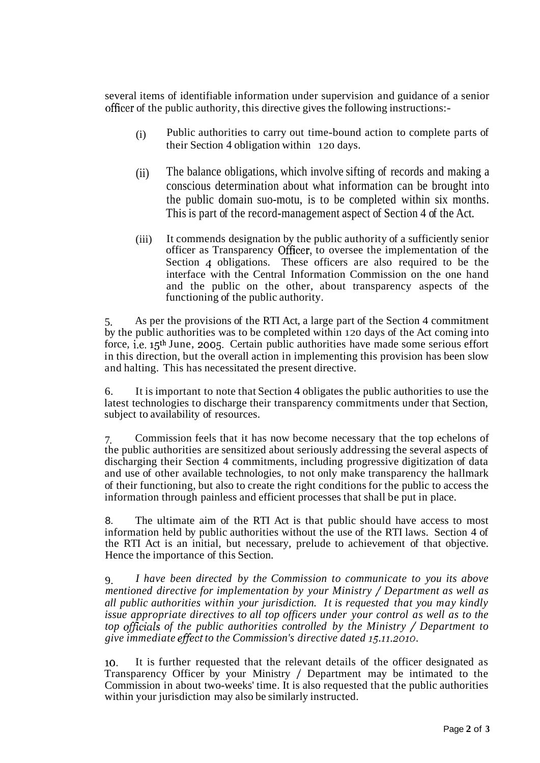several items of identifiable information under supervision and guidance of a senior officer of the public authority, this directive gives the following instructions:-

- (i) Public authorities to carry out time-bound action to complete parts of their Section 4 obligation within 120 days.
- (ii) The balance obligations, which involve sifting of records and making a conscious determination about what information can be brought into the public domain suo-motu, is to be completed within six months. This is part of the record-management aspect of Section 4 of the Act.
- (iii) It commends designation by the public authority of a sufficiently senior officer as Transparency Officer, to oversee the implementation of the Section 4 obligations. These officers are also required to be the interface with the Central Information Commission on the one hand and the public on the other, about transparency aspects of the functioning of the public authority.

5. As per the provisions of the RTI Act, a large part of the Section 4 commitment by the public authorities was to be completed within 120 days of the Act coming into force, i.e. 15th June, 2005. Certain public authorities have made some serious effort in this direction, but the overall action in implementing this provision has been slow and halting. This has necessitated the present directive.

6. It is important to note that Section 4 obligates the public authorities to use the latest technologies to discharge their transparency commitments under that Section, subject to availability of resources.

7. Commission feels that it has now become necessary that the top echelons of the public authorities are sensitized about seriously addressing the several aspects of discharging their Section 4 commitments, including progressive digitization of data and use of other available technologies, to not only make transparency the hallmark of their functioning, but also to create the right conditions for the public to access the information through painless and efficient processes that shall be put in place.

8. The ultimate aim of the RTI Act is that public should have access to most information held by public authorities without the use of the RTI laws. Section 4 of the RTI Act is an initial, but necessary, prelude to achievement of that objective. Hence the importance of this Section.

9. *I have been directed by the Commission to communicate to you its above mentioned directive for implementation by your Ministry* / *Department as well as all public authorities within your jurisdiction. It is requested that you may kindly issue appropriate directives to all top officers under your control as well as to the top officials of the public authorities controlled by the Ministry* / *Department to give immediate effect to the Commission's directive dated 15.11.2010.* 

lo. It is further requested that the relevant details of the officer designated as Transparency Officer by your Ministry / Department may be intimated to the Commission in about two-weeks' time. It is also requested that the public authorities within your jurisdiction may also be similarly instructed.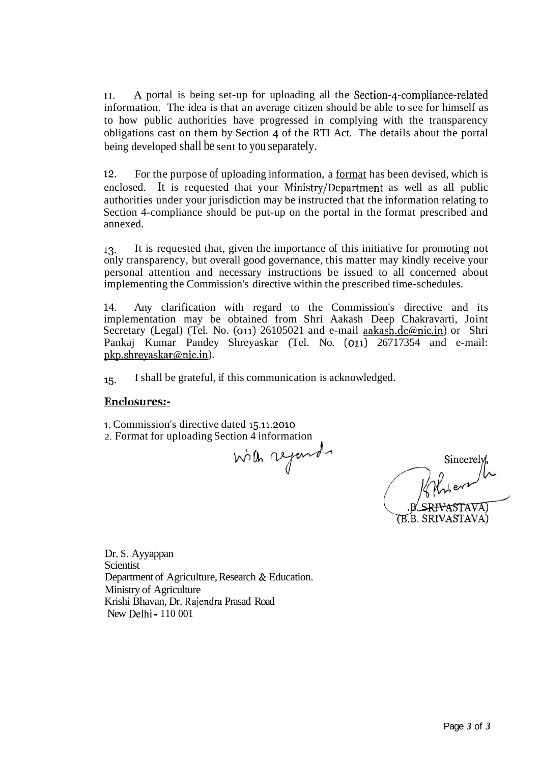11. A portal is being set-up for uploading all the Section-4-compliance-related information. The idea is that an average citizen should be able to see for himself as to how public authorities have progressed in complying with the transparency obligations cast on them by Section 4 of the RTI Act. The details about the portal being developed shall be sent to you separately.

**12.** For the purpose of uploading information, a format has been devised, which is enclosed. It is requested that your Ministry/Department as well as all public authorities under your jurisdiction may be instructed that the information relating to Section 4-compliance should be put-up on the portal in the format prescribed and annexed.

13. It is requested that, given the importance of this initiative for promoting not only transparency, but overall good governance, this matter may kindly receive your personal attention and necessary instructions be issued to all concerned about implementing the Commission's directive within the prescribed time-schedules.

14. Any clarification with regard to the Commission's directive and its implementation may be obtained from Shri Aakash Deep Chakravarti, Joint Secretary (Legal) (Tel. No. (011) 26105021 and e-mail aakash.dc@nic.in) or Shri Pankaj Kumar Pandey Shreyaskar (Tel. No. (011) 26717354 and e-mail: pkp.shreyaskar@nic.in).

15. I shall be grateful, if this communication is acknowledged.

#### **Enclosures:-**

1. Commission's directive dated 15.11.2010 2. Format for uploading Section 4 information

with referred

B Sincerely,<br>B SRIVASTAVA)<br>(B.B. SRIVASTAVA)

Dr. S. Ayyappan Scientist Department of Agriculture, Research & Education. Ministry of Agriculture Krishi Bhavan, Dr. Rajendra Prasad Road New Delhi - 110 001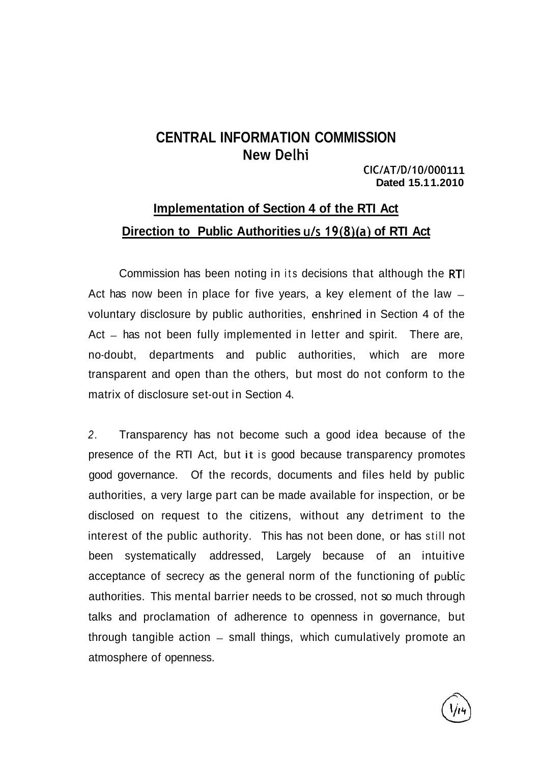# **CENTRAL INFORMATION COMMISSION New Delhi**

**CIC/AT/D/10/000 1 1 1 Dated 15.1 1.2010** 

# **Implementation of Section 4 of the RTI Act Direction to Public Authorities u/s 19(8)(a) of RTI Act**

Commission has been noting in its decisions that although the RTI Act has now been in place for five years, a key element of the law  $$ voluntary disclosure by public authorities, enshrined in Section 4 of the Act – has not been fully implemented in letter and spirit. There are, no-doubt, departments and public authorities, which are more transparent and open than the others, but most do not conform to the matrix of disclosure set-out in Section 4.

2. Transparency has not become such a good idea because of the presence of the RTI Act, but it is good because transparency promotes good governance. Of the records, documents and files held by public authorities, a very large part can be made available for inspection, or be disclosed on request to the citizens, without any detriment to the interest of the public authority. This has not been done, or has still not been systematically addressed, Largely because of an intuitive acceptance of secrecy as the general norm of the functioning of public authorities. This mental barrier needs to be crossed, not so much through talks and proclamation of adherence to openness in governance, but through tangible action – small things, which cumulatively promote an atmosphere of openness.

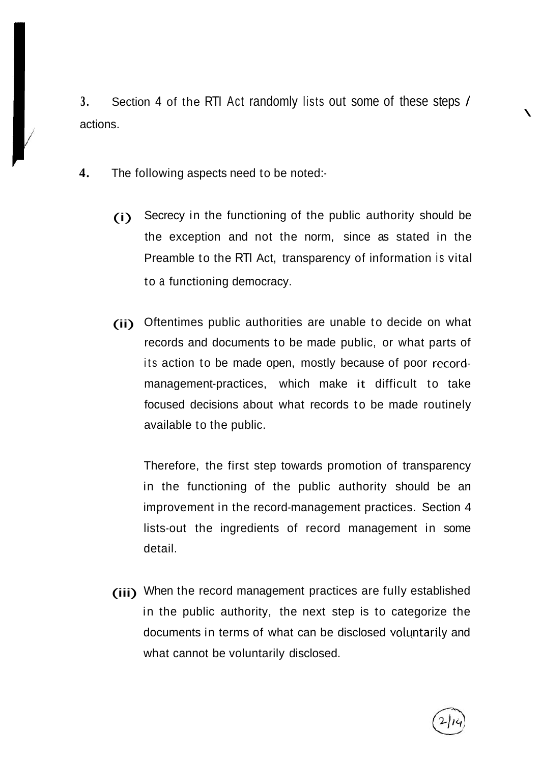**3.** Section 4 of the RTI Act randomly lists out some of these steps / actions.

**4.** The following aspects need to be noted:-

/!

- (i) Secrecy in the functioning of the public authority should be the exception and not the norm, since as stated in the Preamble to the RTI Act, transparency of information is vital to a functioning democracy.
- (ii) Oftentimes public authorities are unable to decide on what records and documents to be made public, or what parts of its action to be made open, mostly because of poor recordmanagement-practices, which make it difficult to take focused decisions about what records to be made routinely available to the public.

Therefore, the first step towards promotion of transparency in the functioning of the public authority should be an improvement in the record-management practices. Section 4 lists-out the ingredients of record management in some detail.

(iii) When the record management practices are fully established in the public authority, the next step is to categorize the documents in terms of what can be disclosed volyntarily and what cannot be voluntarily disclosed.



 $\mathbf{r}$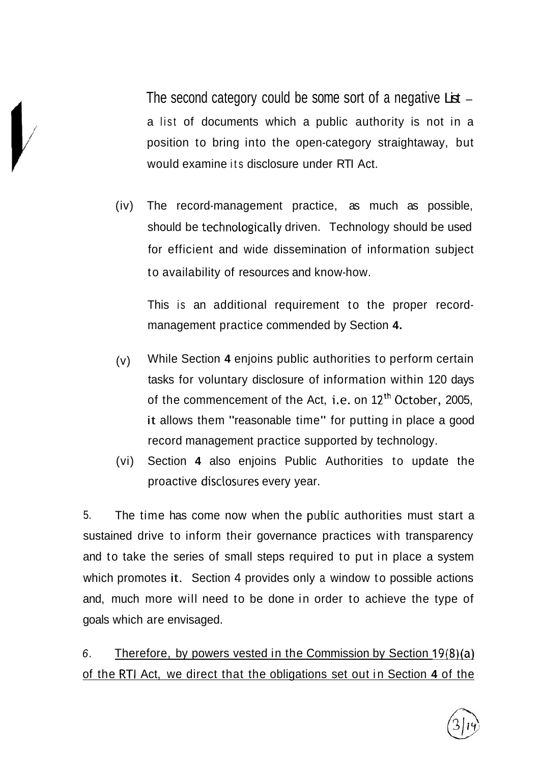The second category could be some sort of a negative  $List$ a list of documents which a public authority is not in a position to bring into the open-category straightaway, but would examine its disclosure under RTI Act.

(iv) The record-management practice, as much as possible, should be technologically driven. Technology should be used for efficient and wide dissemination of information subject to availability of resources and know-how.

This is an additional requirement to the proper recordmanagement practice commended by Section **4.** 

- (v) While Section **4** enjoins public authorities to perform certain tasks for voluntary disclosure of information within 120 days of the commencement of the Act, i.e. on  $12<sup>th</sup>$  October, 2005, it allows them "reasonable time" for putting in place a good record management practice supported by technology.
- (vi) Section **4** also enjoins Public Authorities to update the proactive disclosures every year.

5. The time has come now when the public authorities must start a sustained drive to inform their governance practices with transparency and to take the series of small steps required to put in place a system which promotes it. Section 4 provides only a window to possible actions and, much more will need to be done in order to achieve the type of goals which are envisaged.

6. Therefore, by powers vested in the Commission by Section  $19(8)(a)$ of the R-TI Act, we direct that the obligations set out in Section **4** of the

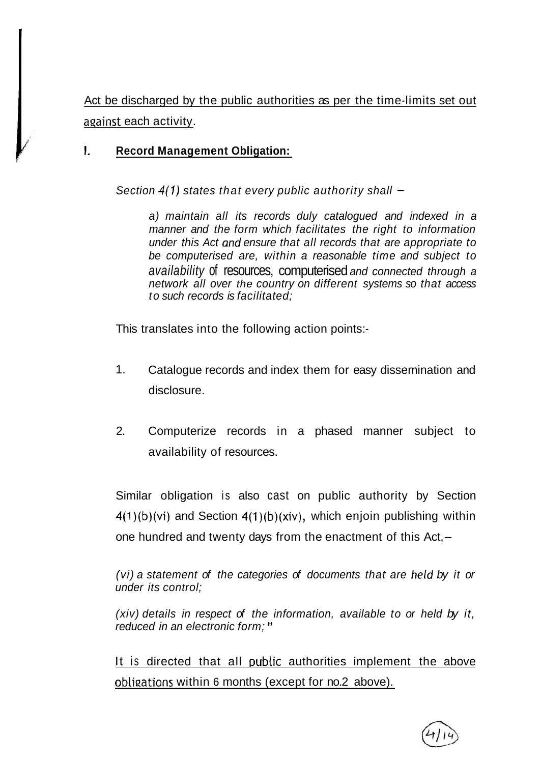Act be discharged by the public authorities as per the time-limits set out aqainst each activity.

## **1. Record Management Obligation:**

Section  $4(1)$  states that every public authority shall  $-$ 

a) maintain all its records duly catalogued and indexed in a manner and the form which facilitates the right to information under this Act and ensure that all records that are appropriate to be computerised are, within a reasonable time and subject to availability of resources, computerised and connected through a network all over the country on different systems so that access to such records is facilitated;

This translates into the following action points:-

- 1. Catalogue records and index them for easy dissemination and disclosure.
- 2. Computerize records in a phased manner subject to availability of resources.

Similar obligation is also cast on public authority by Section  $4(1)(b)(vi)$  and Section  $4(1)(b)(xiv)$ , which enjoin publishing within one hundred and twenty days from the enactment of this  $Act, -$ 

(vi) a statement of the categories of documents that are held by it or under its control;

(xiv) details in respect of the information, available to or held by it, reduced in an electronic form; "

It is directed that all public authorities implement the above obligations within 6 months (except for no.2 above).

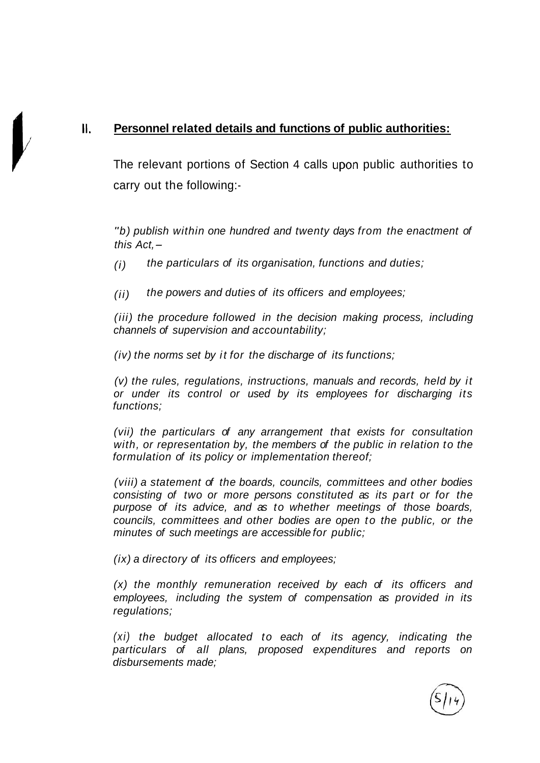## **II. Personnel related details and functions of public authorities:**

The relevant portions of Section 4 calls upon public authorities to carry out the following:-

"b) publish within one hundred and twenty days from the enactment of this  $Act. -$ 

 $(i)$  the particulars of its organisation, functions and duties;

(ii) the powers and duties of its officers and employees;

(iii) the procedure followed in the decision making process, including channels of supervision and accountability;

(iv) the norms set by it for the discharge of its functions;

(v) the rules, regulations, instructions, manuals and records, held by it or under its control or used by its employees for discharging its functions;

(vii) the particulars of any arrangement that exists for consultation with, or representation by, the members of the public in relation to the formulation of its policy or implementation thereof;

(viii) a statement of the boards, councils, committees and other bodies consisting of two or more persons constituted as its part or for the purpose of its advice, and as to whether meetings of those boards, councils, committees and other bodies are open to the public, or the minutes of such meetings are accessible for public;

(ix) a directory of its officers and employees;

(x) the monthly remuneration received by each of its officers and employees, including the system of compensation as provided in its regulations;

(xi) the budget allocated to each of its agency, indicating the particulars of all plans, proposed expenditures and reports on disbursements made;

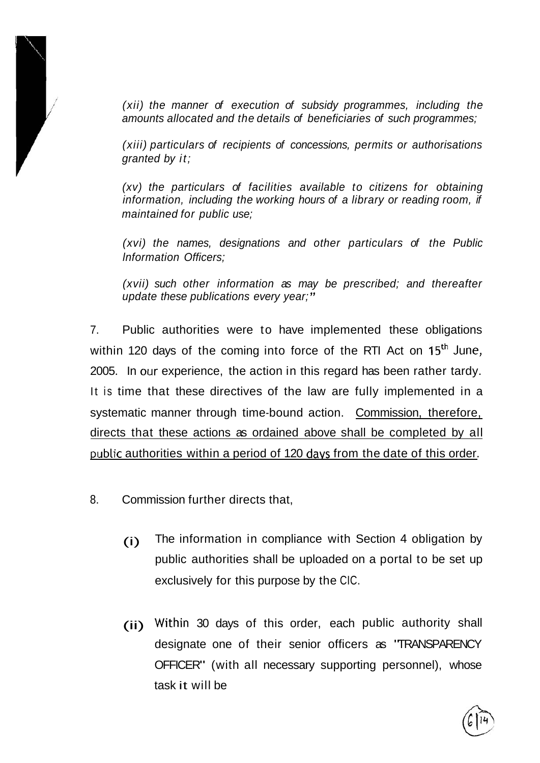

(xii) the manner of execution of subsidy programmes, including the amounts allocated and the details of beneficiaries of such programmes;

(xiii) particulars of recipients of concessions, permits or authorisations granted by it;

(xv) the particulars of facilities available to citizens for obtaining information, including the working hours of a library or reading room, if maintained for public use;

(xvi) the names, designations and other particulars of the Public lnformation Officers;

(xvii) such other information as may be prescribed; and thereafter update these publications every year;"

7. Public authorities were to have implemented these obligations within 120 days of the coming into force of the RTI Act on 15<sup>th</sup> June, 2005. In our experience, the action in this regard has been rather tardy. It is time that these directives of the law are fully implemented in a systematic manner through time-bound action. Commission, therefore, directs that these actions as ordained above shall be completed by all public authorities within a period of 120 davs from the date of this order.

- 8. Commission further directs that,
	- (i) The information in compliance with Section 4 obligation by public authorities shall be uploaded on a portal to be set up exclusively for this purpose by the CIC.
	- (ii) Within 30 days of this order, each public authority shall designate one of their senior officers as "TRANSPARENCY OFFICER" (with all necessary supporting personnel), whose task it will be

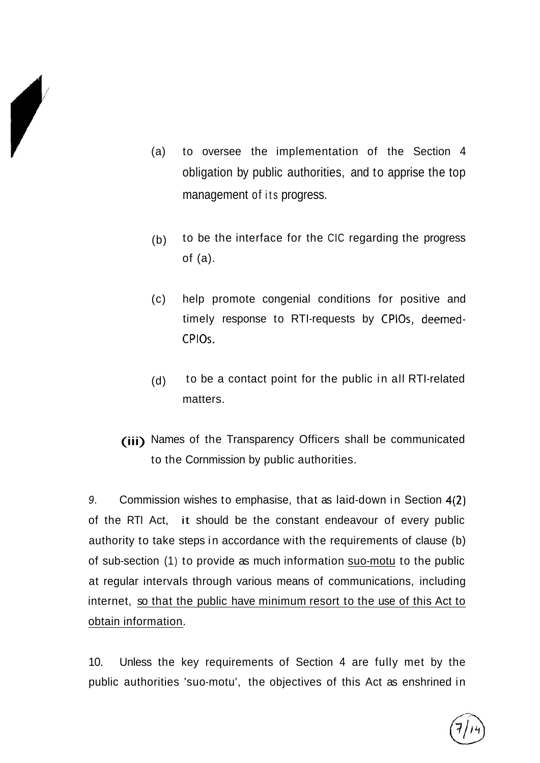

- (a) to oversee the implementation of the Section 4 obligation by public authorities, and to apprise the top management of its progress.
- (b) to be the interface for the CIC regarding the progress of (a).
- (c) help promote congenial conditions for positive and timely response to RTI-requests by CPlOs, deemed-CPlOs.
- (d) to be a contact point for the public in all RTI-related matters.
- (iii) Names of the Transparency Officers shall be communicated to the Cornmission by public authorities.

9. Commission wishes to emphasise, that as laid-down in Section 4(2) of the RTI Act, it should be the constant endeavour of every public authority to take steps in accordance with the requirements of clause (b) of sub-section (1) to provide as much information suo-motu to the public at regular intervals through various means of communications, including internet, so that the public have minimum resort to the use of this Act to obtain information.

10. Unless the key requirements of Section 4 are fully met by the public authorities 'suo-motu', the objectives of this Act as enshrined in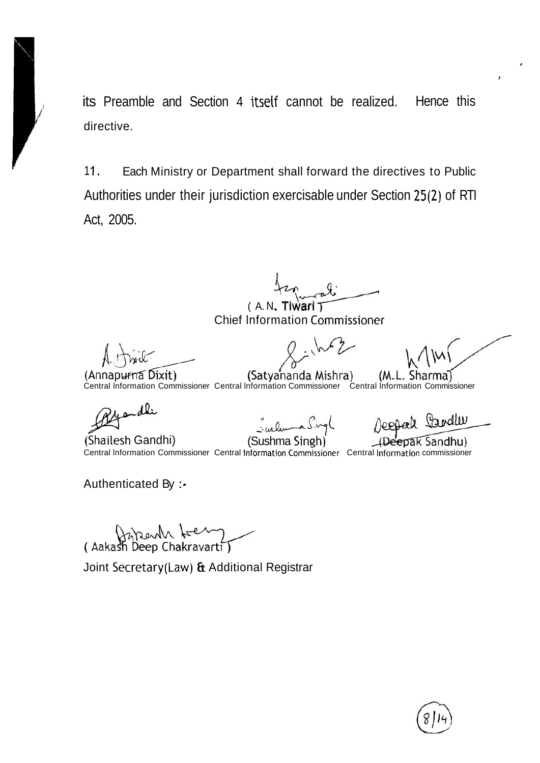its Preamble and Section 4 itsetf cannot be realized. Hence this directive.

11. Each Ministry or Department shall forward the directives to Public Authorities under their jurisdiction exercisable under Section 25(2) of RTI Act, 2005.

 $\frac{1}{2}$ <br>( A. N. Tiwari  $\frac{1}{2}$ 

Chief Information Commissioner

(Satyahanda Mishra)

*I* 

**J** 

(M.L Central lnformation Commissioner Central lnformation Commissioner Central lnformation Commissioner

andli

(Annapurna Dixit)

(Shailesh Gandhi)

 $\cdot$  and (Sushma Singh)

Jeepal Landler

pak Sandhu) Central Information Commissioner Central Information Commissioner Central Information commissioner

Authenticated By : -

(Aakash Deep Chakravarti)

Joint Secretary(Law) & Additional Registrar

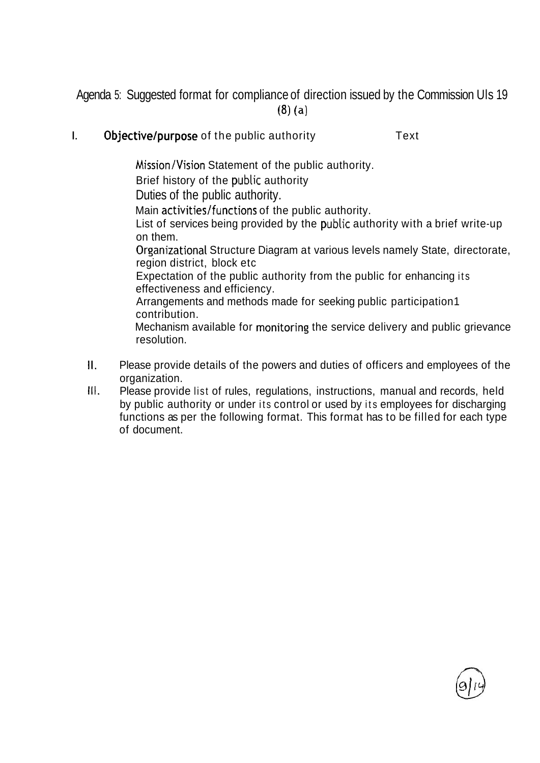Agenda 5: Suggested format for compliance of direction issued by the Commission UIs 19 **(8)** (a)

I. Objective/purpose of the public authority Text

Mission/Vision Statement of the public authority.

Brief history of the public authority

Duties of the public authority.

Main activities/functions of the public authority.

List of services being provided by the public authority with a brief write-up on them.

Orzanizational Structure Diagram at various levels namely State, directorate, region district, block etc

Expectation of the public authority from the public for enhancing its effectiveness and efficiency.

Arrangements and methods made for seeking public participation1 contribution.

Mechanism available for monitoring the service delivery and public grievance resolution.

- II. Please provide details of the powers and duties of officers and employees of the organization.
- Ill. Please provide list of rules, regulations, instructions, manual and records, held by public authority or under its control or used by its employees for discharging functions as per the following format. This format has to be filled for each type of document.

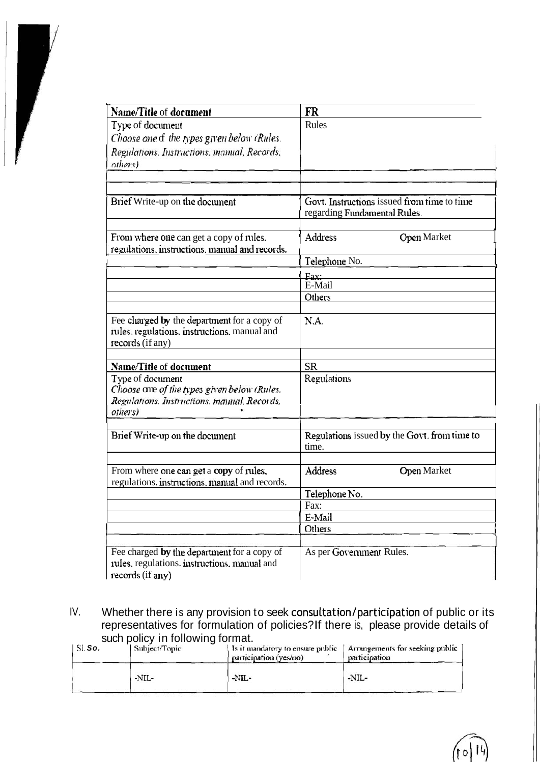| Name/Title of document                                                                                                    | FR                                                                          |
|---------------------------------------------------------------------------------------------------------------------------|-----------------------------------------------------------------------------|
| Type of document                                                                                                          | Rules                                                                       |
| Choose one of the types given below (Rules,                                                                               |                                                                             |
| Regulations. Instructions, manual, Records.<br>others)                                                                    |                                                                             |
|                                                                                                                           |                                                                             |
| Brief Write-up on the document                                                                                            | Govt. Instructions issued from time to time<br>regarding Fundamental Rules. |
| From where one can get a copy of rules.<br>regulations, instructions, manual and records.                                 | <b>Address</b><br><b>Open Market</b>                                        |
|                                                                                                                           | Telephone No.                                                               |
|                                                                                                                           | Fax:<br>E-Mail                                                              |
|                                                                                                                           | Others                                                                      |
|                                                                                                                           |                                                                             |
| Fee charged by the department for a copy of<br>rules, regulations, instructions, manual and<br>records (if any)           | N.A.                                                                        |
| Name/Title of document                                                                                                    | <b>SR</b>                                                                   |
| Type of document<br>Choose are of the types given below (Rules.<br>Regulations. Instructions, manual, Records,<br>others) | Regulations                                                                 |
| Brief Write-up on the document                                                                                            | Regulations issued by the Govt. from time to<br>time.                       |
|                                                                                                                           |                                                                             |
| From where one can get a copy of rules.<br>regulations. instructions, manual and records.                                 | Address<br><b>Open Market</b>                                               |
|                                                                                                                           | Telephone No.                                                               |
|                                                                                                                           | Fax:                                                                        |
|                                                                                                                           | E-Mail                                                                      |
|                                                                                                                           | Others                                                                      |
| Fee charged by the department for a copy of<br>rules, regulations. instructions, manual and<br>records (if any)           | As per Government Rules.                                                    |

Whether there is any provision to seek consultation/participation of public or its representatives for formulation of policies? If there is, please provide details of such policy in following format. IV.

| $\perp$ SI. So. | Subject/Topic | Is it mandatory to ensure public<br>participation (yes/no) | Arrangements for seeking public<br>participation |
|-----------------|---------------|------------------------------------------------------------|--------------------------------------------------|
|                 | -NIL-         | $-NIL-$                                                    | $-NIL-$                                          |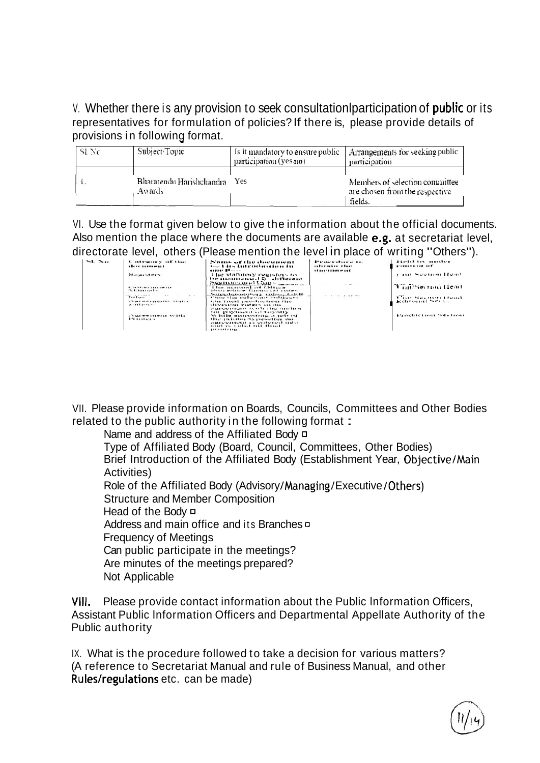### V. Whether there is any provision to seek consultation participation of **public** or its representatives for formulation of policies? If there is, please provide details of provisions in following format.

| SL No | Subject/Topic                       | Is it mandatory to ensure public<br>participation (yes no) | Arrangements for seeking public<br>participation                            |
|-------|-------------------------------------|------------------------------------------------------------|-----------------------------------------------------------------------------|
|       | Bharatendu Harishchandra<br>Awards. | Yes                                                        | Members of selection committee<br>are chosen from the respective<br>fields. |

VI. Use the format given below to give the information about the official documents. Also mention the place where the documents are available e.g. at secretariat level, directorate level, others (Please mention the level in place of writing "Others").

|                               |                                                      |                                                                                                                                             |                                                         | . .                              |
|-------------------------------|------------------------------------------------------|---------------------------------------------------------------------------------------------------------------------------------------------|---------------------------------------------------------|----------------------------------|
| $\mathcal{L}$ . $\mathcal{L}$ | Contractory of the<br>dire urramat                   | Nome of the document<br>a I des tratmentans times dan                                                                                       | Properties to the<br>obetain Hor<br>adasar tanra eras c | Held by under                    |
|                               | <b>Houses</b>                                        | The standard registers to<br>lse mannionaed L. different                                                                                    |                                                         | <b>THE Section Head</b>          |
|                               | K. Ja. - 1 - ma anana mana<br>1.3111717714           | <u>Secretario que l 3,500 m.</u><br>The momental of Office.<br>Here's echange financial and callers.                                        |                                                         | <b>Contingence Lieus</b>         |
|                               | and the subject of the<br>Car Art<br>$T \cdot 1 = 1$ | Supplementury infest, OFFS<br>Chine that rules contentations                                                                                |                                                         | Trail Sochen Hout                |
|                               | <b>AMERGEDGING WITH</b><br>.11111111                 | Chi final production the<br>classiveless carters are ma-<br>marketing with the marketing<br>fen guvernacht of tervally.                     |                                                         | delighters and North Line        |
|                               | . Varewallerin with<br>The seat one is               | les that e announcement of the W<br>the pulletor its provotive may<br>calable doubless and destroyed saules.<br>senal in a stirt roll final |                                                         | <b>ITE INCIDENTAL PROPERTIES</b> |
|                               |                                                      |                                                                                                                                             |                                                         |                                  |
|                               |                                                      |                                                                                                                                             |                                                         |                                  |

VII. Please provide information on Boards, Councils, Committees and Other Bodies related to the public authority in the following format:

Name and address of the Affiliated Body  $\Box$ 

Type of Affiliated Body (Board, Council, Committees, Other Bodies) Brief Introduction of the Affiliated Body (Establishment Year, Objective/Main Activities)

Role of the Affiliated Body (Advisory/Managing/Executive/Others)

**Structure and Member Composition** 

Head of the Body  $\Box$ 

Address and main office and its Branches  $\sigma$ 

**Frequency of Meetings** 

Can public participate in the meetings?

Are minutes of the meetings prepared?

Not Applicable

Please provide contact information about the Public Information Officers, VIII. Assistant Public Information Officers and Departmental Appellate Authority of the Public authority

IX. What is the procedure followed to take a decision for various matters? (A reference to Secretariat Manual and rule of Business Manual, and other Rules/regulations etc. can be made)

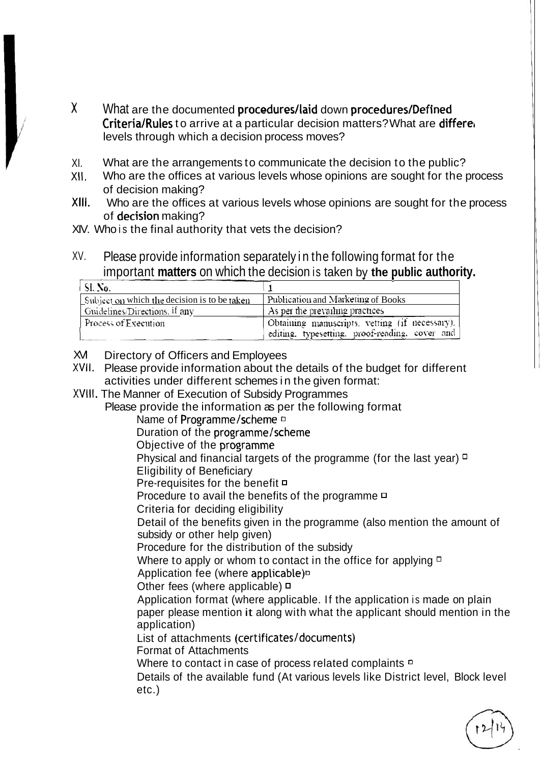- X What are the documented procedures/laid down procedures/Defined Criteria/Rules to arrive at a particular decision matters? What are differe levels through which a decision process moves?
- XI. What are the arrangements to communicate the decision to the public?
- Who are the offices at various levels whose opinions are sought for the process XII. of decision making?
- XIII. Who are the offices at various levels whose opinions are sought for the process of decision making?
- XIV. Who is the final authority that vets the decision?
- XV. Please provide information separately in the following format for the important matters on which the decision is taken by the public authority.

| SI. No.                                      |                                                                                                  |
|----------------------------------------------|--------------------------------------------------------------------------------------------------|
| Subject on which the decision is to be taken | Publication and Marketing of Books                                                               |
| Guidelines/Directions, if any                | As per the prevailing practices                                                                  |
| Process of Execution                         | Obtaining manuscripts, vetting (if necessary).<br>editing, typesetting, proof-reading, cover and |

- XVI Directory of Officers and Employees
- XVII. Please provide information about the details of the budget for different activities under different schemes in the given format:
- XVIII. The Manner of Execution of Subsidy Programmes
	- Please provide the information as per the following format
		- Name of Programme/scheme D
		- Duration of the programme/scheme
		- Objective of the programme

Physical and financial targets of the programme (for the last year)  $\Box$ 

- **Eligibility of Beneficiary**
- Pre-requisites for the benefit <sup>□</sup>
- Procedure to avail the benefits of the programme  $\Box$
- Criteria for deciding eligibility

Detail of the benefits given in the programme (also mention the amount of subsidy or other help given)

Procedure for the distribution of the subsidy

Where to apply or whom to contact in the office for applying  $\Box$ 

Application fee (where applicable)<sup>D</sup>

Other fees (where applicable)  $\Box$ 

Application format (where applicable. If the application is made on plain paper please mention it along with what the applicant should mention in the application)

List of attachments (certificates/documents)

**Format of Attachments** 

Where to contact in case of process related complaints <sup>D</sup>

Details of the available fund (At various levels like District level, Block level  $etc.$ )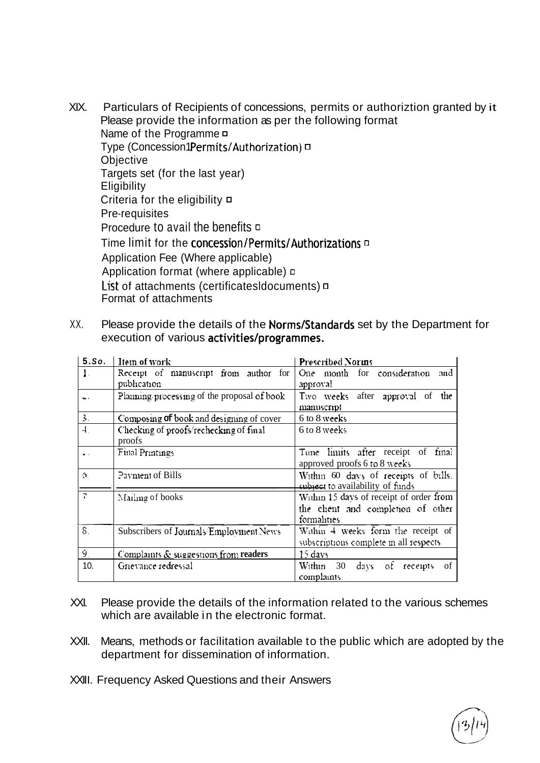- XIX. Particulars of Recipients of concessions, permits or authoriztion granted by it Please provide the information as per the following format Name of the Programme  $\Box$ Type (Concession1Permits/Authorization)  $\Box$ Objective Targets set (for the last year) Eligibility Criteria for the eligibility **D** Pre-requisites Procedure to avail the benefits  $\Box$ Time limit for the concession/Permits/Authorizations **D** Application Fee (Where applicable) Application format (where applicable)  $\Box$ List of attachments (certificatesIdocuments)  $\Box$ Format of attachments
- XX. Please provide the details of the Norms/Standards set by the Department for execution of various activities/programmes.

| $5.$ So.               | Item of work                                | <b>Prescribed Norms</b>                       |
|------------------------|---------------------------------------------|-----------------------------------------------|
| $\mathbf{1}$ .         | Receipt of manuscript from author for       | One month for consideration<br>and            |
|                        | publication                                 | approval                                      |
|                        | Planning processing of the proposal of book | Two weeks after approval of the               |
|                        |                                             | manuscript                                    |
| 3.                     | Composing of book and designing of cover    | $6$ to $8$ weeks                              |
| $\ddot{\mathcal{A}}$ . | Checking of proofs rechecking of final      | 6 to 8 weeks                                  |
|                        | proofs                                      |                                               |
|                        | <b>Final Printings</b>                      | Time limits after receipt of final            |
|                        |                                             | approved proofs 6 to 8 weeks                  |
| Ó.                     | Payment of Bills                            | Within 60 days of receipts of bills.          |
|                        |                                             | subject to availability of funds              |
| ÷,                     | Mailing of books                            | Within 15 days of receipt of order from       |
|                        |                                             | the chent and completion of other             |
|                        |                                             | formalities.                                  |
| $S_{-}$                | Subscribers of Journals/Employment News     | Within 4 weeks form the receipt of            |
|                        |                                             | subscriptions complete in all respects.       |
| 9.                     | Complaints & suggestions from readers       | $1 - days$                                    |
| 10.                    | Grievance redressal                         | Within<br>30<br>days.<br>of<br>of<br>receipts |
|                        |                                             | complaints.                                   |

- Please provide the details of the information related to the various schemes XXI. which are available in the electronic format.
- XXII. Means, methods or facilitation available to the public which are adopted by the department for dissemination of information.
- XXIII. Frequency Asked Questions and their Answers